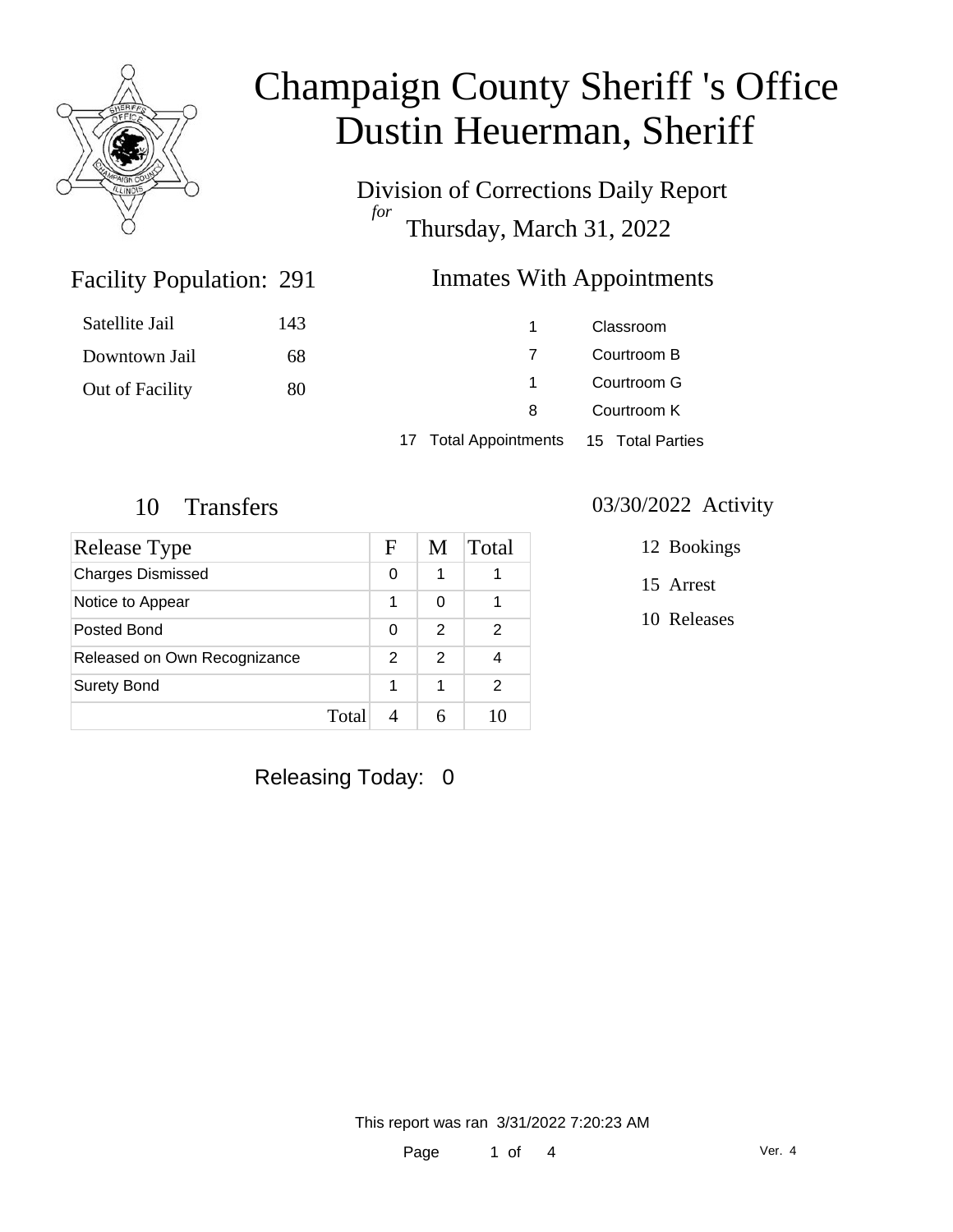

Division of Corrections Daily Report *for* Thursday, March 31, 2022

### Inmates With Appointments

| Satellite Jail  | 143 |                                        | Classroom   |  |
|-----------------|-----|----------------------------------------|-------------|--|
| Downtown Jail   | 68  |                                        | Courtroom B |  |
| Out of Facility | 80  |                                        | Courtroom G |  |
|                 |     | 8                                      | Courtroom K |  |
|                 |     | 17 Total Appointments 15 Total Parties |             |  |

Facility Population: 291

| Release Type                 |       | F | M | Total |
|------------------------------|-------|---|---|-------|
| <b>Charges Dismissed</b>     |       | 0 | 1 |       |
| Notice to Appear             |       | 1 | ∩ |       |
| Posted Bond                  |       | 0 | 2 | 2     |
| Released on Own Recognizance |       | 2 | 2 |       |
| <b>Surety Bond</b>           |       |   | 1 | 2     |
|                              | Total |   |   |       |

### 10 Transfers 03/30/2022 Activity

12 Bookings

15 Arrest

10 Releases

Releasing Today: 0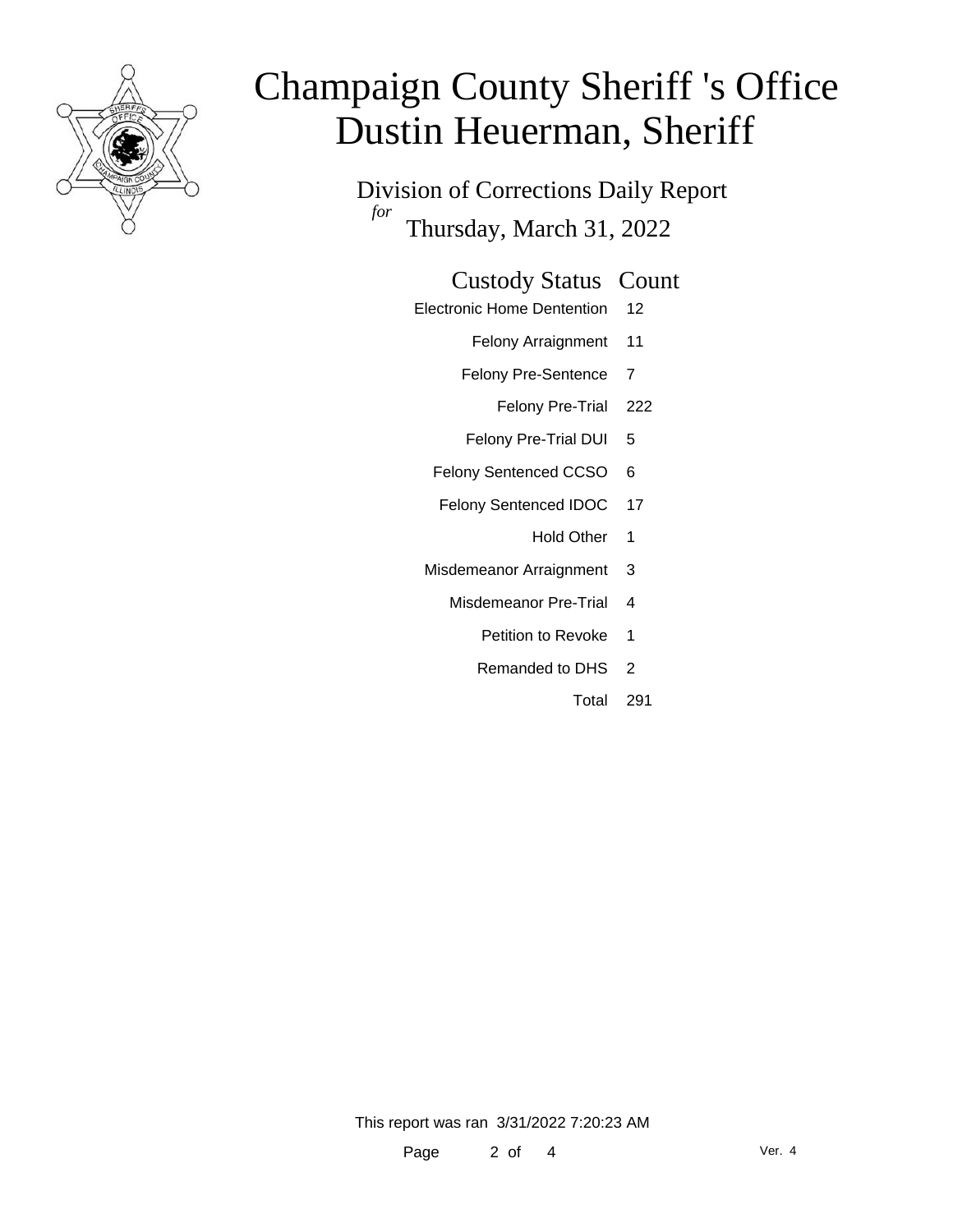

Division of Corrections Daily Report *for* Thursday, March 31, 2022

#### Custody Status Count

- Electronic Home Dentention 12
	- Felony Arraignment 11
	- Felony Pre-Sentence 7
		- Felony Pre-Trial 222
	- Felony Pre-Trial DUI 5
	- Felony Sentenced CCSO 6
	- Felony Sentenced IDOC 17
		- Hold Other 1
	- Misdemeanor Arraignment 3
		- Misdemeanor Pre-Trial 4
			- Petition to Revoke 1
			- Remanded to DHS 2
				- Total 291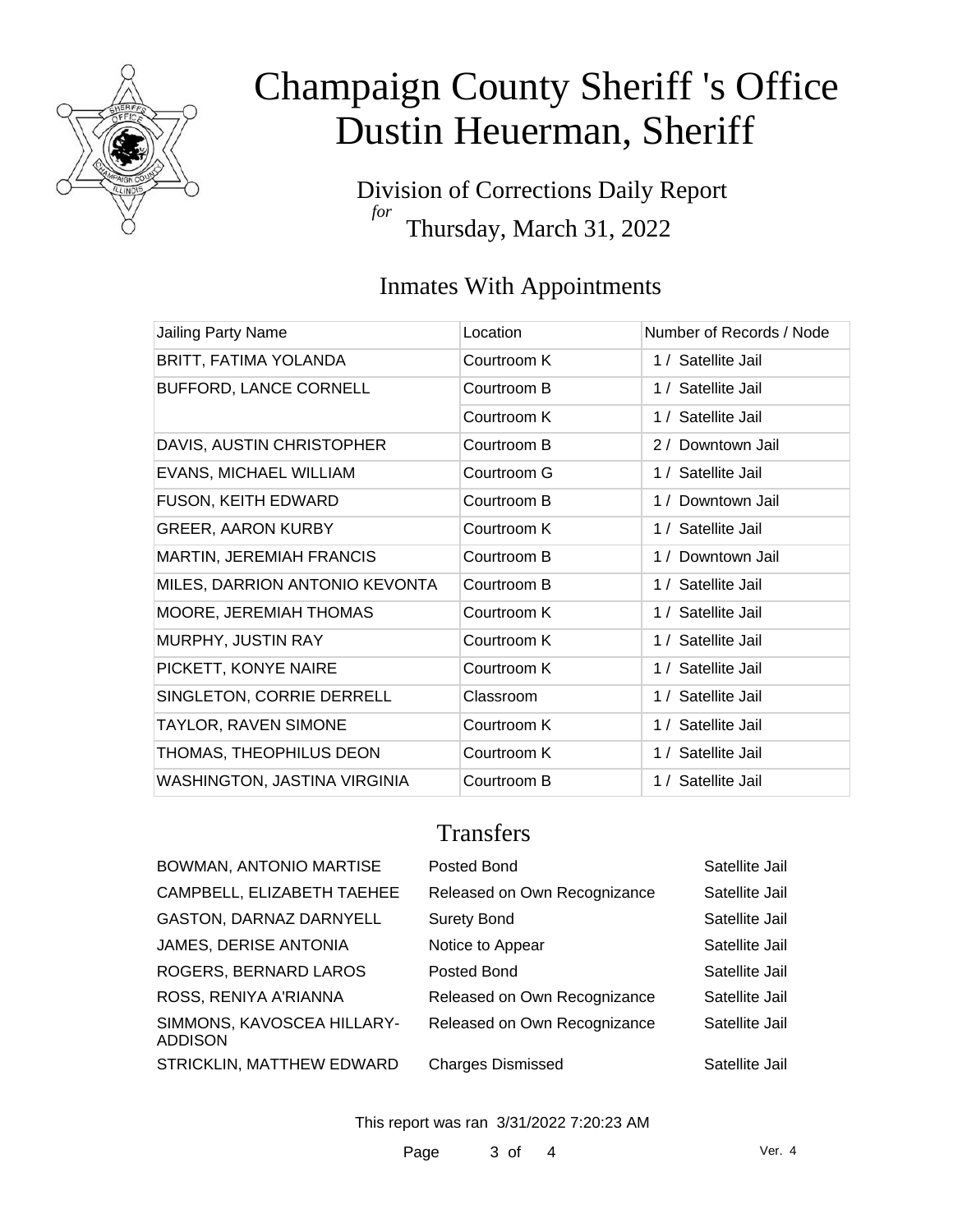

Division of Corrections Daily Report *for* Thursday, March 31, 2022

### Inmates With Appointments

| Jailing Party Name              | Location    | Number of Records / Node |
|---------------------------------|-------------|--------------------------|
| BRITT, FATIMA YOLANDA           | Courtroom K | 1 / Satellite Jail       |
| BUFFORD, LANCE CORNELL          | Courtroom B | 1 / Satellite Jail       |
|                                 | Courtroom K | 1 / Satellite Jail       |
| DAVIS, AUSTIN CHRISTOPHER       | Courtroom B | 2 / Downtown Jail        |
| <b>EVANS, MICHAEL WILLIAM</b>   | Courtroom G | 1 / Satellite Jail       |
| <b>FUSON, KEITH EDWARD</b>      | Courtroom B | 1 / Downtown Jail        |
| <b>GREER, AARON KURBY</b>       | Courtroom K | 1 / Satellite Jail       |
| <b>MARTIN, JEREMIAH FRANCIS</b> | Courtroom B | Downtown Jail<br>1/      |
| MILES, DARRION ANTONIO KEVONTA  | Courtroom B | 1 / Satellite Jail       |
| MOORE, JEREMIAH THOMAS          | Courtroom K | 1 / Satellite Jail       |
| MURPHY, JUSTIN RAY              | Courtroom K | 1 / Satellite Jail       |
| PICKETT, KONYE NAIRE            | Courtroom K | 1 / Satellite Jail       |
| SINGLETON, CORRIE DERRELL       | Classroom   | 1 / Satellite Jail       |
| <b>TAYLOR, RAVEN SIMONE</b>     | Courtroom K | 1 / Satellite Jail       |
| THOMAS, THEOPHILUS DEON         | Courtroom K | 1 / Satellite Jail       |
| WASHINGTON, JASTINA VIRGINIA    | Courtroom B | 1 / Satellite Jail       |

### **Transfers**

| BOWMAN, ANTONIO MARTISE                      | Posted Bond                  | Satellite Jail |
|----------------------------------------------|------------------------------|----------------|
| CAMPBELL, ELIZABETH TAEHEE                   | Released on Own Recognizance | Satellite Jail |
| GASTON, DARNAZ DARNYELL                      | <b>Surety Bond</b>           | Satellite Jail |
| JAMES, DERISE ANTONIA                        | Notice to Appear             | Satellite Jail |
| ROGERS, BERNARD LAROS                        | Posted Bond                  | Satellite Jail |
| ROSS, RENIYA A'RIANNA                        | Released on Own Recognizance | Satellite Jail |
| SIMMONS, KAVOSCEA HILLARY-<br><b>ADDISON</b> | Released on Own Recognizance | Satellite Jail |
| STRICKLIN, MATTHEW EDWARD                    | <b>Charges Dismissed</b>     | Satellite Jail |